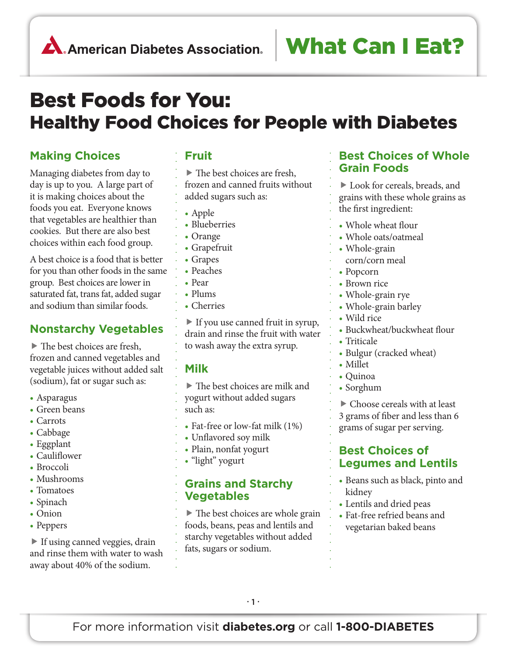# Best Foods for You: Healthy Food Choices for People with Diabetes

### **Making Choices**

Managing diabetes from day to day is up to you. A large part of it is making choices about the foods you eat. Everyone knows that vegetables are healthier than cookies. But there are also best choices within each food group.

A best choice is a food that is better for you than other foods in the same group. Best choices are lower in saturated fat, trans fat, added sugar and sodium than similar foods.

### **Nonstarchy Vegetables**

 The best choices are fresh, frozen and canned vegetables and vegetable juices without added salt (sodium), fat or sugar such as:

- Asparagus
- Green beans
- Carrots
- Cabbage
- Eggplant
- Cauliflower
- Broccoli
- Mushrooms
- Tomatoes
- Spinach
- Onion
- Peppers

 If using canned veggies, drain and rinse them with water to wash away about 40% of the sodium.

### **Fruit**

. . . . . . . . . . . . . . . . . . . . . . . . . . . . . . . . . . . . . . . . . . . . . . . . . . .

▶ The best choices are fresh, frozen and canned fruits without added sugars such as:

- Apple
- Blueberries
- Orange
- • Grapefruit
- • Grapes
- Peaches
- • Pear
- Plums
- Cherries

 If you use canned fruit in syrup, drain and rinse the fruit with water to wash away the extra syrup.

### **Milk**

 The best choices are milk and yogurt without added sugars such as:

- Fat-free or low-fat milk (1%)
- Unflavored soy milk
- Plain, nonfat yogurt
- "light" yogurt

### **Grains and Starchy Vegetables**

 $\triangleright$  The best choices are whole grain foods, beans, peas and lentils and starchy vegetables without added fats, sugars or sodium.

### **Best Choices of Whole Grain Foods**

 Look for cereals, breads, and grains with these whole grains as the first ingredient:

- Whole wheat flour
- Whole oats/oatmeal
- Whole-grain
- corn/corn meal
- Popcorn

. . . . . . . . . . . . . . . . . . . . . . . . . . . . . . . . . . . . . . . . . . . . . . . . . . .

- Brown rice
- Whole-grain rye
- Whole-grain barley
- • Wild rice
- Buckwheat/buckwheat flour
- Triticale
- Bulgur (cracked wheat)
- Millet
- Quinoa
- Sorghum

 Choose cereals with at least 3 grams of fiber and less than 6 grams of sugar per serving.

### **Best Choices of Legumes and Lentils**

- Beans such as black, pinto and kidney
- Lentils and dried peas
- • Fat-free refried beans and vegetarian baked beans